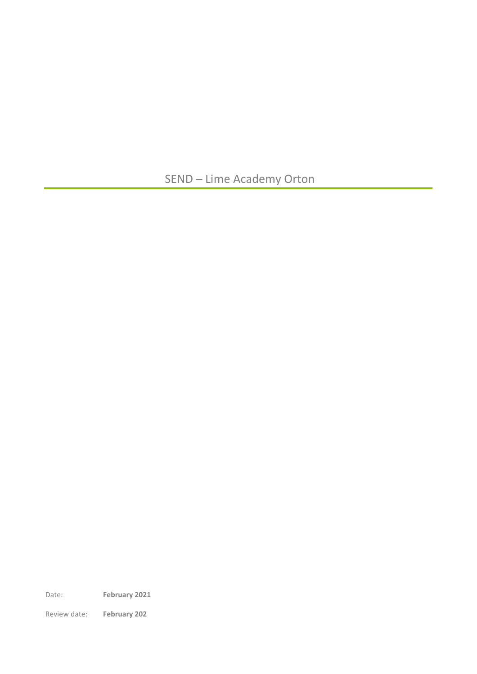SEND – Lime Academy Orton

Date: **February 2021**

Review date: **February 202**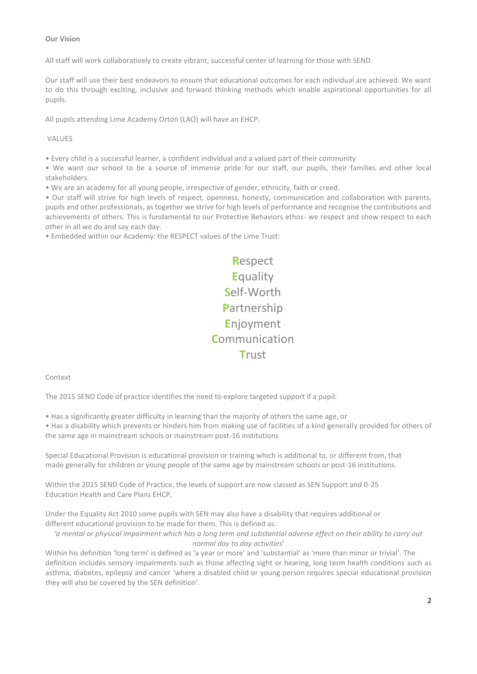# **Our Vision**

All staff will work collaboratively to create vibrant, successful center of learning for those with SEND.

Our staff will use their best endeavors to ensure that educational outcomes for each individual are achieved. We want to do this through exciting, inclusive and forward thinking methods which enable aspirational opportunities for all pupils.

All pupils attending Lime Academy Orton (LAO) will have an EHCP.

### VALUES

• Every child is a successful learner, a confident individual and a valued part of their community

• We want our school to be a source of immense pride for our staff, our pupils, their families and other local stakeholders.

• We are an academy for all young people, irrespective of gender, ethnicity, faith or creed.

• Our staff will strive for high levels of respect, openness, honesty, communication and collaboration with parents, pupils and other professionals, as together we strive for high levels of performance and recognise the contributions and achievements of others. This is fundamental to our Protective Behaviors ethos- we respect and show respect to each other in all we do and say each day.

• Embedded within our Academy: the RESPECT values of the Lime Trust:

**R**espect **E**quality **S**elf-Worth **P**artnership **E**njoyment **C**ommunication **T**rust

Context

The 2015 SEND Code of practice identifies the need to explore targeted support if a pupil:

• Has a significantly greater difficulty in learning than the majority of others the same age, or

• Has a disability which prevents or hinders him from making use of facilities of a kind generally provided for others of the same age in mainstream schools or mainstream post-16 institutions

Special Educational Provision is educational provision or training which is additional to, or different from, that made generally for children or young people of the same age by mainstream schools or post-16 institutions.

Within the 2015 SEND Code of Practice, the levels of support are now classed as SEN Support and 0-25 Education Health and Care Plans EHCP.

Under the Equality Act 2010 some pupils with SEN may also have a disability that requires additional or different educational provision to be made for them. This is defined as:

*'a mental or physical impairment which has a long term and substantial adverse effect on their ability to carry out normal day to day activities*'

Within his definition 'long term' is defined as 'a year or more' and 'substantial' as 'more than minor or trivial'. The definition includes sensory impairments such as those affecting sight or hearing, long term health conditions such as asthma, diabetes, epilepsy and cancer 'where a disabled child or young person requires special educational provision they will also be covered by the SEN definition'.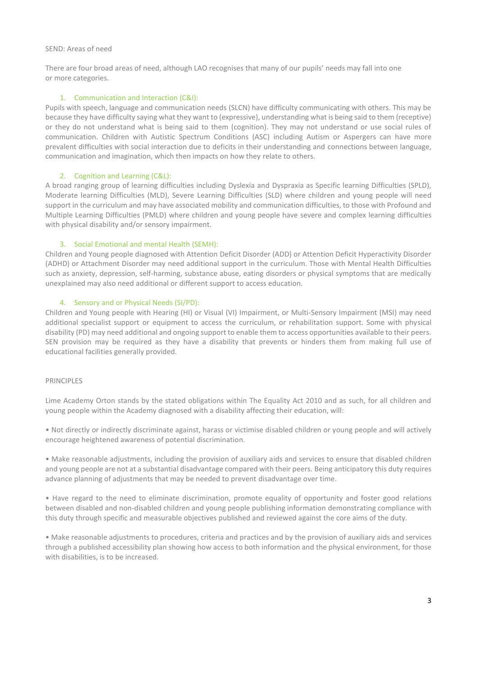### SEND: Areas of need

There are four broad areas of need, although LAO recognises that many of our pupils' needs may fall into one or more categories.

#### 1. Communication and Interaction (C&I):

Pupils with speech, language and communication needs (SLCN) have difficulty communicating with others. This may be because they have difficulty saying what they want to (expressive), understanding what is being said to them (receptive) or they do not understand what is being said to them (cognition). They may not understand or use social rules of communication. Children with Autistic Spectrum Conditions (ASC) including Autism or Aspergers can have more prevalent difficulties with social interaction due to deficits in their understanding and connections between language, communication and imagination, which then impacts on how they relate to others.

# 2. Cognition and Learning (C&L):

A broad ranging group of learning difficulties including Dyslexia and Dyspraxia as Specific learning Difficulties (SPLD), Moderate learning Difficulties (MLD), Severe Learning Difficulties (SLD) where children and young people will need support in the curriculum and may have associated mobility and communication difficulties, to those with Profound and Multiple Learning Difficulties (PMLD) where children and young people have severe and complex learning difficulties with physical disability and/or sensory impairment.

### 3. Social Emotional and mental Health (SEMH):

Children and Young people diagnosed with Attention Deficit Disorder (ADD) or Attention Deficit Hyperactivity Disorder (ADHD) or Attachment Disorder may need additional support in the curriculum. Those with Mental Health Difficulties such as anxiety, depression, self-harming, substance abuse, eating disorders or physical symptoms that are medically unexplained may also need additional or different support to access education.

### 4. Sensory and or Physical Needs (SI/PD):

Children and Young people with Hearing (HI) or Visual (VI) Impairment, or Multi-Sensory Impairment (MSI) may need additional specialist support or equipment to access the curriculum, or rehabilitation support. Some with physical disability (PD) may need additional and ongoing support to enable them to access opportunities available to their peers. SEN provision may be required as they have a disability that prevents or hinders them from making full use of educational facilities generally provided.

# PRINCIPLES

Lime Academy Orton stands by the stated obligations within The Equality Act 2010 and as such, for all children and young people within the Academy diagnosed with a disability affecting their education, will:

• Not directly or indirectly discriminate against, harass or victimise disabled children or young people and will actively encourage heightened awareness of potential discrimination.

• Make reasonable adjustments, including the provision of auxiliary aids and services to ensure that disabled children and young people are not at a substantial disadvantage compared with their peers. Being anticipatory this duty requires advance planning of adjustments that may be needed to prevent disadvantage over time.

• Have regard to the need to eliminate discrimination, promote equality of opportunity and foster good relations between disabled and non-disabled children and young people publishing information demonstrating compliance with this duty through specific and measurable objectives published and reviewed against the core aims of the duty.

• Make reasonable adjustments to procedures, criteria and practices and by the provision of auxiliary aids and services through a published accessibility plan showing how access to both information and the physical environment, for those with disabilities, is to be increased.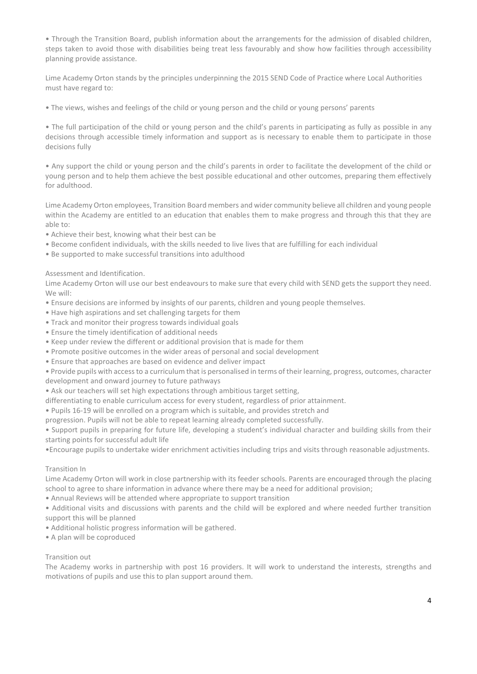• Through the Transition Board, publish information about the arrangements for the admission of disabled children, steps taken to avoid those with disabilities being treat less favourably and show how facilities through accessibility planning provide assistance.

Lime Academy Orton stands by the principles underpinning the 2015 SEND Code of Practice where Local Authorities must have regard to:

• The views, wishes and feelings of the child or young person and the child or young persons' parents

• The full participation of the child or young person and the child's parents in participating as fully as possible in any decisions through accessible timely information and support as is necessary to enable them to participate in those decisions fully

• Any support the child or young person and the child's parents in order to facilitate the development of the child or young person and to help them achieve the best possible educational and other outcomes, preparing them effectively for adulthood.

Lime Academy Orton employees, Transition Board members and wider community believe all children and young people within the Academy are entitled to an education that enables them to make progress and through this that they are able to:

- Achieve their best, knowing what their best can be
- Become confident individuals, with the skills needed to live lives that are fulfilling for each individual
- Be supported to make successful transitions into adulthood

Assessment and Identification.

Lime Academy Orton will use our best endeavours to make sure that every child with SEND gets the support they need. We will:

- Ensure decisions are informed by insights of our parents, children and young people themselves.
- Have high aspirations and set challenging targets for them
- Track and monitor their progress towards individual goals
- Ensure the timely identification of additional needs
- Keep under review the different or additional provision that is made for them
- Promote positive outcomes in the wider areas of personal and social development
- Ensure that approaches are based on evidence and deliver impact

• Provide pupils with access to a curriculum that is personalised in terms of their learning, progress, outcomes, character development and onward journey to future pathways

• Ask our teachers will set high expectations through ambitious target setting,

differentiating to enable curriculum access for every student, regardless of prior attainment.

• Pupils 16-19 will be enrolled on a program which is suitable, and provides stretch and

progression. Pupils will not be able to repeat learning already completed successfully.

• Support pupils in preparing for future life, developing a student's individual character and building skills from their starting points for successful adult life

•Encourage pupils to undertake wider enrichment activities including trips and visits through reasonable adjustments.

# Transition In

Lime Academy Orton will work in close partnership with its feeder schools. Parents are encouraged through the placing school to agree to share information in advance where there may be a need for additional provision;

• Annual Reviews will be attended where appropriate to support transition

• Additional visits and discussions with parents and the child will be explored and where needed further transition support this will be planned

- Additional holistic progress information will be gathered.
- A plan will be coproduced

# Transition out

The Academy works in partnership with post 16 providers. It will work to understand the interests, strengths and motivations of pupils and use this to plan support around them.